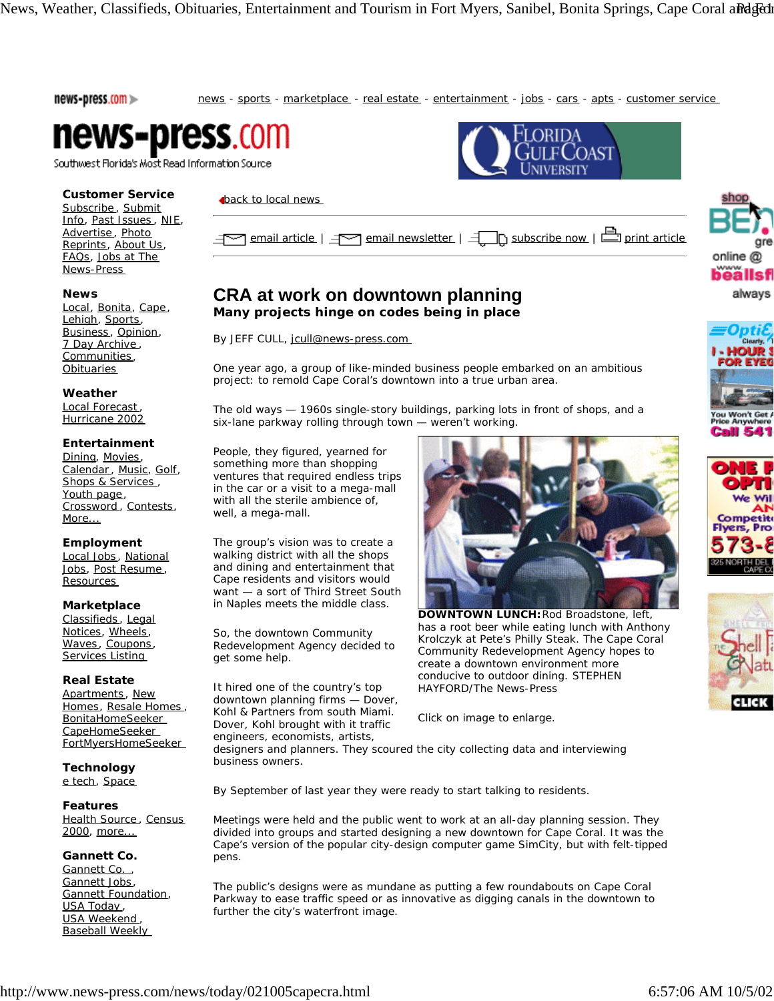news-press.com >>

news - sports - marketplace - real estate - entertainment - jobs - cars - apts - customer service



Southwest Florida's Most Read Information Source

## **Customer Service**

Subscribe, Submit Info, Past Issues , NIE, Advertise, Photo Reprints, About Us, FAQs, Jobs at The News-Press

## **News**

Local, Bonita, Cape, Lehigh, Sports, Business, Opinion, 7 Day Archive , Communities, **Obituaries** 

#### **Weather**

Local Forecast , Hurricane 2002

# **Entertainment**

Dining, Movies, Calendar, Music, Golf, Shops & Services , Youth page, Crossword , Contests, More...

## **Employment**

Local Jobs , National Jobs, Post Resume , Resources

## **Marketplace**

Classifieds , Legal Notices, Wheels, Waves, Coupons, Services Listing

## **Real Estate**

Apartments, New Homes, Resale Homes , BonitaHomeSeeker CapeHomeSeeker FortMyersHomeSeeker

**Technology** e tech, Space

**Features**

Health Source, Census 2000, more...

## **Gannett Co.**

Gannett Co., Gannett Jobs, Gannett Foundation, USA Today, **USA Weekend** Baseball Weekly

## **back to local news**

| den and article   den and newsletter   den cubscribe now   durint article |  |
|---------------------------------------------------------------------------|--|
|---------------------------------------------------------------------------|--|

# **CRA at work on downtown planning**

**Many projects hinge on codes being in place** 

By JEFF CULL, jcull@news-press.com

One year ago, a group of like-minded business people embarked on an ambitious project: to remold Cape Coral's downtown into a true urban area.

The old ways — 1960s single-story buildings, parking lots in front of shops, and a six-lane parkway rolling through town — weren't working.

People, they figured, yearned for something more than shopping ventures that required endless trips in the car or a visit to a mega-mall with all the sterile ambience of, well, a mega-mall.

The group's vision was to create a walking district with all the shops and dining and entertainment that Cape residents and visitors would want — a sort of Third Street South in Naples meets the middle class.

So, the downtown Community Redevelopment Agency decided to get some help.

It hired one of the country's top downtown planning firms — Dover, Kohl & Partners from south Miami. Dover, Kohl brought with it traffic engineers, economists, artists,



**DOWNTOWN LUNCH:** Rod Broadstone, left, has a root beer while eating lunch with Anthony Krolczyk at Pete's Philly Steak. The Cape Coral Community Redevelopment Agency hopes to create a downtown environment more conducive to outdoor dining. *STEPHEN HAYFORD/The News-Press*

*Click on image to enlarge.*

designers and planners. They scoured the city collecting data and interviewing business owners.

By September of last year they were ready to start talking to residents.

Meetings were held and the public went to work at an all-day planning session. They divided into groups and started designing a new downtown for Cape Coral. It was the Cape's version of the popular city-design computer game SimCity, but with felt-tipped pens.

The public's designs were as mundane as putting a few roundabouts on Cape Coral Parkway to ease traffic speed or as innovative as digging canals in the downtown to further the city's waterfront image.



always



Call 541



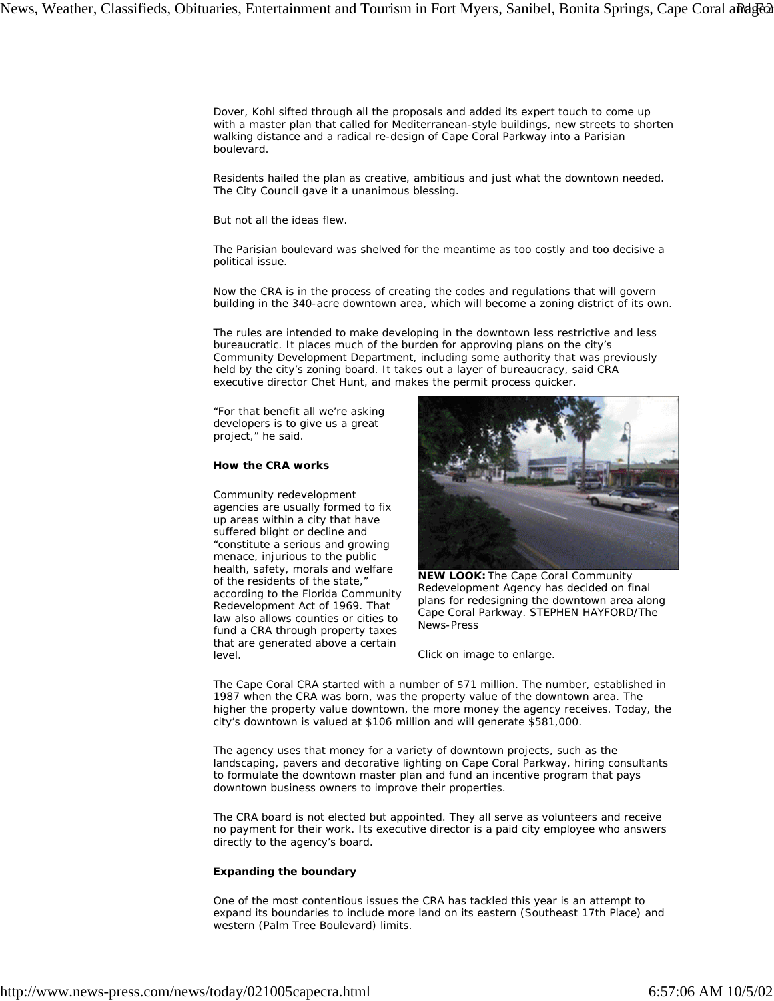Dover, Kohl sifted through all the proposals and added its expert touch to come up with a master plan that called for Mediterranean-style buildings, new streets to shorten walking distance and a radical re-design of Cape Coral Parkway into a Parisian boulevard.

Residents hailed the plan as creative, ambitious and just what the downtown needed. The City Council gave it a unanimous blessing.

But not all the ideas flew.

The Parisian boulevard was shelved for the meantime as too costly and too decisive a political issue.

Now the CRA is in the process of creating the codes and regulations that will govern building in the 340-acre downtown area, which will become a zoning district of its own.

The rules are intended to make developing in the downtown less restrictive and less bureaucratic. It places much of the burden for approving plans on the city's Community Development Department, including some authority that was previously held by the city's zoning board. It takes out a layer of bureaucracy, said CRA executive director Chet Hunt, and makes the permit process quicker.

"For that benefit all we're asking developers is to give us a great project," he said.

## **How the CRA works**

Community redevelopment agencies are usually formed to fix up areas within a city that have suffered blight or decline and "constitute a serious and growing menace, injurious to the public health, safety, morals and welfare of the residents of the state," according to the Florida Community Redevelopment Act of 1969. That law also allows counties or cities to fund a CRA through property taxes that are generated above a certain level.



**NEW LOOK:** The Cape Coral Community Redevelopment Agency has decided on final plans for redesigning the downtown area along Cape Coral Parkway. *STEPHEN HAYFORD/The News-Press*

*Click on image to enlarge.*

The Cape Coral CRA started with a number of \$71 million. The number, established in 1987 when the CRA was born, was the property value of the downtown area. The higher the property value downtown, the more money the agency receives. Today, the city's downtown is valued at \$106 million and will generate \$581,000.

The agency uses that money for a variety of downtown projects, such as the landscaping, pavers and decorative lighting on Cape Coral Parkway, hiring consultants to formulate the downtown master plan and fund an incentive program that pays downtown business owners to improve their properties.

The CRA board is not elected but appointed. They all serve as volunteers and receive no payment for their work. Its executive director is a paid city employee who answers directly to the agency's board.

#### **Expanding the boundary**

One of the most contentious issues the CRA has tackled this year is an attempt to expand its boundaries to include more land on its eastern (Southeast 17th Place) and western (Palm Tree Boulevard) limits.